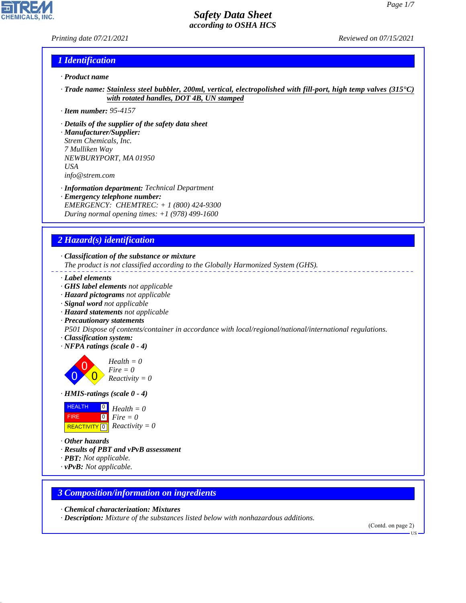#### *Printing date 07/21/2021 Reviewed on 07/15/2021*

**CHEMICALS** 

## *1 Identification*

- *· Product name*
- *· Trade name: Stainless steel bubbler, 200ml, vertical, electropolished with fill-port, high temp valves (315°C) with rotated handles, DOT 4B, UN stamped*
- *· Item number: 95-4157*
- *· Details of the supplier of the safety data sheet*
- *· Manufacturer/Supplier: Strem Chemicals, Inc. 7 Mulliken Way NEWBURYPORT, MA 01950 USA info@strem.com*
- *· Information department: Technical Department*
- *· Emergency telephone number: EMERGENCY: CHEMTREC: + 1 (800) 424-9300 During normal opening times: +1 (978) 499-1600*

## *2 Hazard(s) identification*

*· Classification of the substance or mixture*

*The product is not classified according to the Globally Harmonized System (GHS).*

- *· Label elements*
- *· GHS label elements not applicable*
- *· Hazard pictograms not applicable*
- *· Signal word not applicable*
- *· Hazard statements not applicable*
- *· Precautionary statements*

*P501 Dispose of contents/container in accordance with local/regional/national/international regulations.*

- *· Classification system:*
- *· NFPA ratings (scale 0 4)*

0 0  $\overline{\mathbf{0}}$ *Health = 0 Fire = 0 Reactivity = 0*

*· HMIS-ratings (scale 0 - 4)*

| <b>HEALTH</b> | $\overline{0}$ Health = 0                    |
|---------------|----------------------------------------------|
| <b>FIRE</b>   | $\mathbf{I}^{\mathsf{O}}$ Fire $=0$          |
|               | REACTIVITY $\boxed{0}$ <i>Reactivity</i> = 0 |

*· Other hazards*

44.1.1

- *· Results of PBT and vPvB assessment*
- *· PBT: Not applicable.*
- *· vPvB: Not applicable.*

#### *3 Composition/information on ingredients*

*· Chemical characterization: Mixtures*

*· Description: Mixture of the substances listed below with nonhazardous additions.*

(Contd. on page 2)

US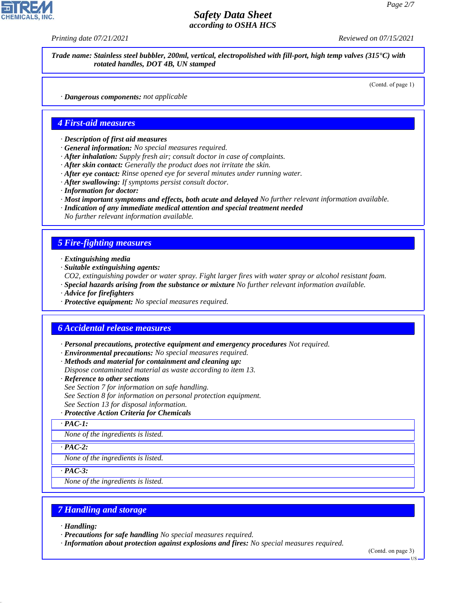*Printing date 07/21/2021 Reviewed on 07/15/2021*

*Trade name: Stainless steel bubbler, 200ml, vertical, electropolished with fill-port, high temp valves (315°C) with rotated handles, DOT 4B, UN stamped*

(Contd. of page 1)

*· Dangerous components: not applicable*

#### *4 First-aid measures*

- *· Description of first aid measures*
- *· General information: No special measures required.*
- *· After inhalation: Supply fresh air; consult doctor in case of complaints.*
- *· After skin contact: Generally the product does not irritate the skin.*
- *· After eye contact: Rinse opened eye for several minutes under running water.*
- *· After swallowing: If symptoms persist consult doctor.*
- *· Information for doctor:*
- *· Most important symptoms and effects, both acute and delayed No further relevant information available.*
- *· Indication of any immediate medical attention and special treatment needed*

*No further relevant information available.*

#### *5 Fire-fighting measures*

- *· Extinguishing media*
- *· Suitable extinguishing agents:*

*CO2, extinguishing powder or water spray. Fight larger fires with water spray or alcohol resistant foam.*

- *· Special hazards arising from the substance or mixture No further relevant information available.*
- *· Advice for firefighters*
- *· Protective equipment: No special measures required.*

#### *6 Accidental release measures*

*· Personal precautions, protective equipment and emergency procedures Not required.*

- *· Environmental precautions: No special measures required.*
- *· Methods and material for containment and cleaning up:*
- *Dispose contaminated material as waste according to item 13.*
- *· Reference to other sections*
- *See Section 7 for information on safe handling.*
- *See Section 8 for information on personal protection equipment.*

*See Section 13 for disposal information.*

#### *· Protective Action Criteria for Chemicals*

*· PAC-1:*

*None of the ingredients is listed.*

*· PAC-2:*

*None of the ingredients is listed.*

*· PAC-3:*

*None of the ingredients is listed.*

#### *7 Handling and storage*

*· Handling:*

44.1.1

*· Precautions for safe handling No special measures required.*

*· Information about protection against explosions and fires: No special measures required.*

(Contd. on page 3)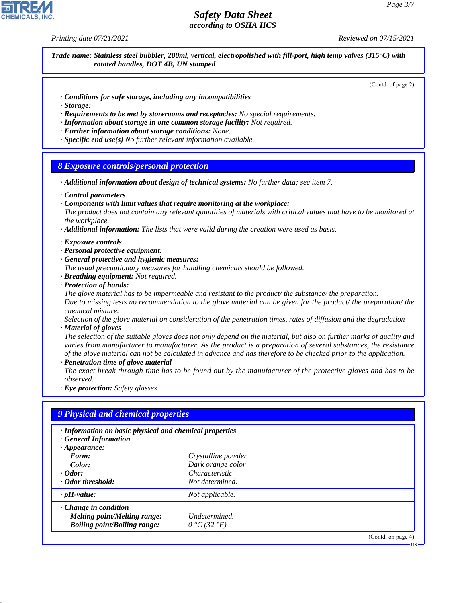*Printing date 07/21/2021 Reviewed on 07/15/2021*

*Trade name: Stainless steel bubbler, 200ml, vertical, electropolished with fill-port, high temp valves (315°C) with rotated handles, DOT 4B, UN stamped*

(Contd. of page 2)

- *· Conditions for safe storage, including any incompatibilities*
- *· Storage:*
- *· Requirements to be met by storerooms and receptacles: No special requirements.*
- *· Information about storage in one common storage facility: Not required.*
- *· Further information about storage conditions: None.*
- *· Specific end use(s) No further relevant information available.*

#### *8 Exposure controls/personal protection*

- *· Additional information about design of technical systems: No further data; see item 7.*
- *· Control parameters*
- *· Components with limit values that require monitoring at the workplace:*

*The product does not contain any relevant quantities of materials with critical values that have to be monitored at the workplace.*

- *· Additional information: The lists that were valid during the creation were used as basis.*
- *· Exposure controls*
- *· Personal protective equipment:*
- *· General protective and hygienic measures:*

*The usual precautionary measures for handling chemicals should be followed.*

- *· Breathing equipment: Not required.*
- *· Protection of hands:*

*The glove material has to be impermeable and resistant to the product/ the substance/ the preparation. Due to missing tests no recommendation to the glove material can be given for the product/ the preparation/ the chemical mixture.*

*Selection of the glove material on consideration of the penetration times, rates of diffusion and the degradation · Material of gloves*

*The selection of the suitable gloves does not only depend on the material, but also on further marks of quality and varies from manufacturer to manufacturer. As the product is a preparation of several substances, the resistance of the glove material can not be calculated in advance and has therefore to be checked prior to the application.*

*· Penetration time of glove material*

*The exact break through time has to be found out by the manufacturer of the protective gloves and has to be observed.*

*· Eye protection: Safety glasses*

| · Information on basic physical and chemical properties |                                         |
|---------------------------------------------------------|-----------------------------------------|
|                                                         |                                         |
|                                                         |                                         |
| Characteristic                                          |                                         |
| Not determined.                                         |                                         |
| Not applicable.                                         |                                         |
|                                                         |                                         |
| Undetermined.                                           |                                         |
| $0 °C$ (32 $°F$ )                                       |                                         |
|                                                         | Crystalline powder<br>Dark orange color |

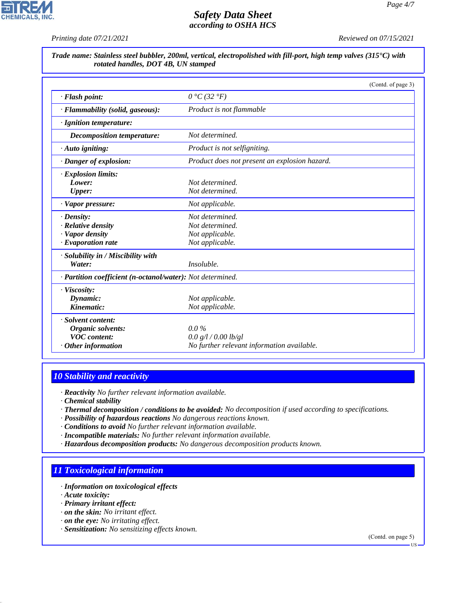*Printing date 07/21/2021 Reviewed on 07/15/2021*

**CHEMICALS, INC** 

*Trade name: Stainless steel bubbler, 200ml, vertical, electropolished with fill-port, high temp valves (315°C) with rotated handles, DOT 4B, UN stamped*

|                                                            |                                               | (Contd. of page 3) |
|------------------------------------------------------------|-----------------------------------------------|--------------------|
| · Flash point:                                             | $0 °C$ (32 $°F$ )                             |                    |
| · Flammability (solid, gaseous):                           | Product is not flammable                      |                    |
| · Ignition temperature:                                    |                                               |                    |
| <i>Decomposition temperature:</i>                          | Not determined.                               |                    |
| $\cdot$ Auto igniting:                                     | Product is not selfigniting.                  |                    |
| · Danger of explosion:                                     | Product does not present an explosion hazard. |                    |
| $\cdot$ Explosion limits:                                  |                                               |                    |
| Lower:                                                     | Not determined.                               |                    |
| Upper:                                                     | Not determined.                               |                    |
| $\cdot$ Vapor pressure:                                    | Not applicable.                               |                    |
| $\cdot$ Density:                                           | Not determined.                               |                    |
| · Relative density                                         | Not determined.                               |                    |
| · Vapor density                                            | Not applicable.                               |                    |
| $\cdot$ Evaporation rate                                   | Not applicable.                               |                    |
| · Solubility in / Miscibility with                         |                                               |                    |
| Water:                                                     | Insoluble.                                    |                    |
| · Partition coefficient (n-octanol/water): Not determined. |                                               |                    |
| · Viscosity:                                               |                                               |                    |
| Dynamic:                                                   | Not applicable.                               |                    |
| Kinematic:                                                 | Not applicable.                               |                    |
| · Solvent content:                                         |                                               |                    |
| Organic solvents:                                          | $0.0\%$                                       |                    |
| <b>VOC</b> content:                                        | 0.0 g/l / 0.00 lb/gl                          |                    |
| Other information                                          | No further relevant information available.    |                    |

## *10 Stability and reactivity*

*· Reactivity No further relevant information available.*

*· Chemical stability*

- *· Thermal decomposition / conditions to be avoided: No decomposition if used according to specifications.*
- *· Possibility of hazardous reactions No dangerous reactions known.*
- *· Conditions to avoid No further relevant information available.*
- *· Incompatible materials: No further relevant information available.*
- *· Hazardous decomposition products: No dangerous decomposition products known.*

## *11 Toxicological information*

- *· Information on toxicological effects*
- *· Acute toxicity:*

44.1.1

- *· Primary irritant effect:*
- *· on the skin: No irritant effect.*
- *· on the eye: No irritating effect.*
- *· Sensitization: No sensitizing effects known.*

(Contd. on page 5)

US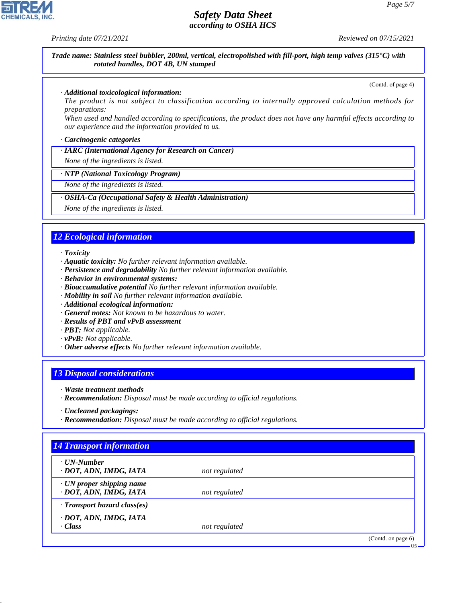**CHEMICALS, INC** 

*Printing date 07/21/2021 Reviewed on 07/15/2021*

*Trade name: Stainless steel bubbler, 200ml, vertical, electropolished with fill-port, high temp valves (315°C) with rotated handles, DOT 4B, UN stamped*

(Contd. of page 4)

#### *· Additional toxicological information:*

*The product is not subject to classification according to internally approved calculation methods for preparations:*

*When used and handled according to specifications, the product does not have any harmful effects according to our experience and the information provided to us.*

#### *· Carcinogenic categories*

*· IARC (International Agency for Research on Cancer)*

*None of the ingredients is listed.*

#### *· NTP (National Toxicology Program)*

*None of the ingredients is listed.*

#### *· OSHA-Ca (Occupational Safety & Health Administration)*

*None of the ingredients is listed.*

## *12 Ecological information*

*· Toxicity*

- *· Aquatic toxicity: No further relevant information available.*
- *· Persistence and degradability No further relevant information available.*
- *· Behavior in environmental systems:*
- *· Bioaccumulative potential No further relevant information available.*
- *· Mobility in soil No further relevant information available.*
- *· Additional ecological information:*
- *· General notes: Not known to be hazardous to water.*
- *· Results of PBT and vPvB assessment*
- *· PBT: Not applicable.*
- *· vPvB: Not applicable.*
- *· Other adverse effects No further relevant information available.*

#### *13 Disposal considerations*

- *· Waste treatment methods*
- *· Recommendation: Disposal must be made according to official regulations.*

*· Recommendation: Disposal must be made according to official regulations.*

## *14 Transport information*

| $\cdot$ UN-Number<br>· DOT, ADN, IMDG, IATA               | not regulated |                    |
|-----------------------------------------------------------|---------------|--------------------|
| $\cdot$ UN proper shipping name<br>· DOT, ADN, IMDG, IATA | not regulated |                    |
| $\cdot$ Transport hazard class(es)                        |               |                    |
| · DOT, ADN, IMDG, IATA<br>$\cdot$ Class                   | not regulated |                    |
|                                                           |               | (Contd. on page 6) |
|                                                           |               | $US -$             |

*<sup>·</sup> Uncleaned packagings:*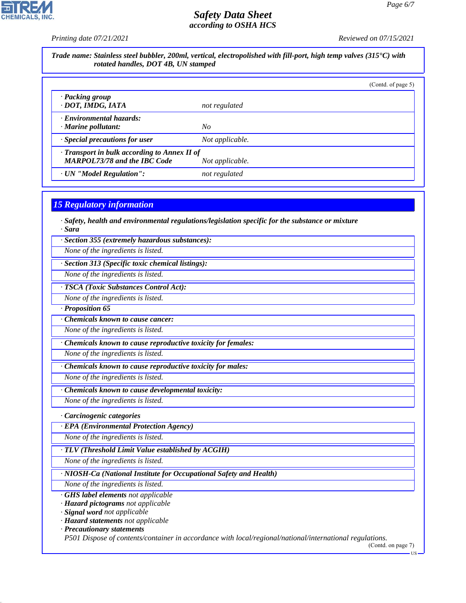*Printing date 07/21/2021 Reviewed on 07/15/2021*

CHEMICALS, INC.

|                                                                                                         |                                                                                                        | (Contd. of page 5) |
|---------------------------------------------------------------------------------------------------------|--------------------------------------------------------------------------------------------------------|--------------------|
| · Packing group<br>· DOT, IMDG, IATA                                                                    | not regulated                                                                                          |                    |
| · Environmental hazards:<br>· Marine pollutant:                                                         | No                                                                                                     |                    |
| · Special precautions for user                                                                          | Not applicable.                                                                                        |                    |
| Transport in bulk according to Annex II of<br><b>MARPOL73/78 and the IBC Code</b>                       | Not applicable.                                                                                        |                    |
| · UN "Model Regulation":                                                                                | not regulated                                                                                          |                    |
| <b>15 Regulatory information</b>                                                                        |                                                                                                        |                    |
|                                                                                                         |                                                                                                        |                    |
| · Sara                                                                                                  | $\cdot$ Safety, health and environmental regulations/legislation specific for the substance or mixture |                    |
| · Section 355 (extremely hazardous substances):                                                         |                                                                                                        |                    |
| None of the ingredients is listed.                                                                      |                                                                                                        |                    |
| · Section 313 (Specific toxic chemical listings):                                                       |                                                                                                        |                    |
| None of the ingredients is listed.                                                                      |                                                                                                        |                    |
| · TSCA (Toxic Substances Control Act):                                                                  |                                                                                                        |                    |
| None of the ingredients is listed.                                                                      |                                                                                                        |                    |
| · Proposition 65                                                                                        |                                                                                                        |                    |
| Chemicals known to cause cancer:                                                                        |                                                                                                        |                    |
| None of the ingredients is listed.                                                                      |                                                                                                        |                    |
| · Chemicals known to cause reproductive toxicity for females:                                           |                                                                                                        |                    |
| None of the ingredients is listed.                                                                      |                                                                                                        |                    |
| Chemicals known to cause reproductive toxicity for males:                                               |                                                                                                        |                    |
| None of the ingredients is listed.                                                                      |                                                                                                        |                    |
| Chemicals known to cause developmental toxicity:                                                        |                                                                                                        |                    |
| None of the ingredients is listed.                                                                      |                                                                                                        |                    |
| · Carcinogenic categories                                                                               |                                                                                                        |                    |
| · EPA (Environmental Protection Agency)                                                                 |                                                                                                        |                    |
| None of the ingredients is listed.                                                                      |                                                                                                        |                    |
| TLV (Threshold Limit Value established by ACGIH)                                                        |                                                                                                        |                    |
| None of the ingredients is listed.                                                                      |                                                                                                        |                    |
| · NIOSH-Ca (National Institute for Occupational Safety and Health)                                      |                                                                                                        |                    |
| None of the ingredients is listed.                                                                      |                                                                                                        |                    |
| GHS label elements not applicable<br>· Hazard pictograms not applicable<br>· Signal word not applicable |                                                                                                        |                    |